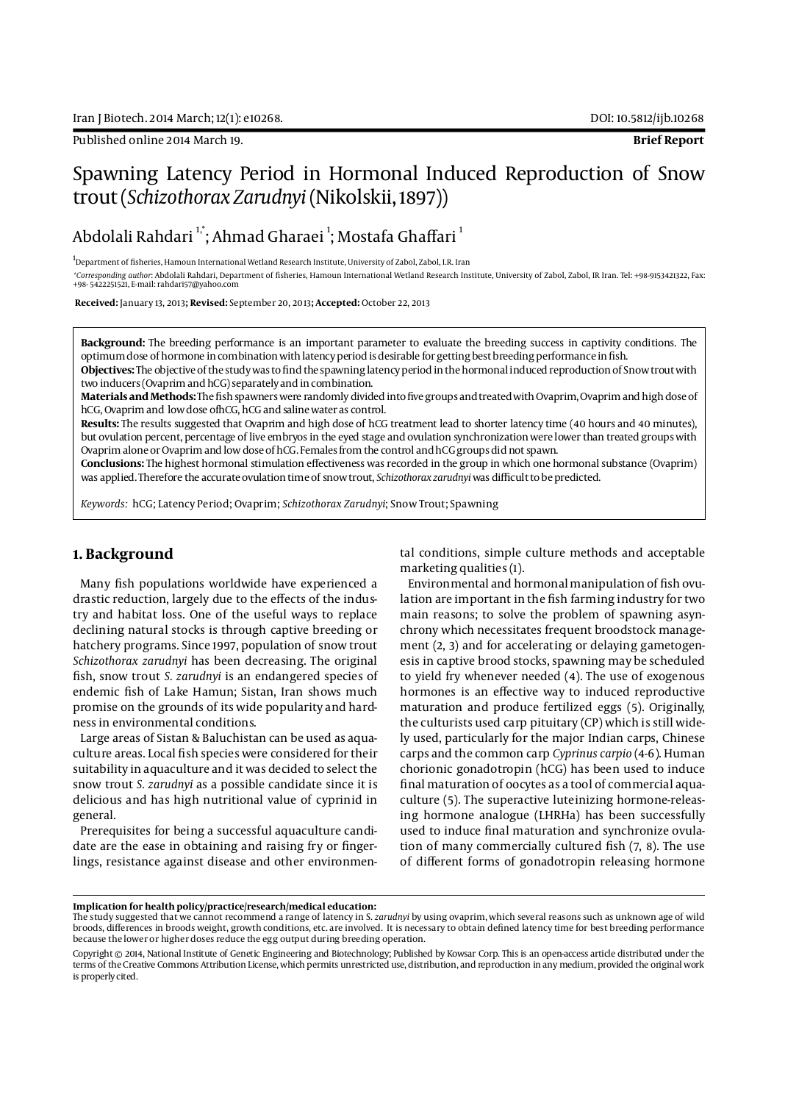Published online 2014 March 19. **Brief Report**

# Spawning Latency Period in Hormonal Induced Reproduction of Snow trout (*Schizothorax Zarudnyi* (Nikolskii, 1897))

Abdolali Rahdari <sup>1,</sup>\*; Ahmad Gharaei <sup>1</sup>; Mostafa Ghaffari <sup>1</sup>

<sup>1</sup>Department of fisheries, Hamoun International Wetland Research Institute, University of Zabol, Zabol, I.R. Iran *\*Corresponding author*: Abdolali Rahdari, Department of fisheries, Hamoun International Wetland Research Institute, University of Zabol, Zabol, IR Iran. Tel: +98-9153421322, Fax: +98- 5422251521, E-mail: rahdari57@yahoo.com

 **Received:** January 13, 2013**; Revised:** September 20, 2013**; Accepted:** October 22, 2013

**Background:** The breeding performance is an important parameter to evaluate the breeding success in captivity conditions. The optimum dose of hormone in combination with latency period is desirable for getting best breeding performance in fish.

**Objectives:** The objective of the study was to find the spawning latency period in the hormonal induced reproduction of Snow trout with two inducers (Ovaprim and hCG) separately and in combination.

**Materials and Methods:** The fish spawners were randomly divided into five groups and treated with Ovaprim, Ovaprim and high dose of hCG, Ovaprim and low dose ofhCG, hCG and saline water as control.

**Results:** The results suggested that Ovaprim and high dose of hCG treatment lead to shorter latency time (40 hours and 40 minutes), but ovulation percent, percentage of live embryos in the eyed stage and ovulation synchronization were lower than treated groups with Ovaprim alone or Ovaprim and low dose of hCG. Females from the control and hCG groups did not spawn.

**Conclusions:** The highest hormonal stimulation effectiveness was recorded in the group in which one hormonal substance (Ovaprim) was applied. Therefore the accurate ovulation time of snow trout, *Schizothorax zarudnyi* was difficult to be predicted.

*Keywords:* hCG; Latency Period; Ovaprim; *Schizothorax Zarudnyi*; Snow Trout; Spawning

#### **1. Background**

Many fish populations worldwide have experienced a drastic reduction, largely due to the effects of the industry and habitat loss. One of the useful ways to replace declining natural stocks is through captive breeding or hatchery programs. Since 1997, population of snow trout *Schizothorax zarudnyi* has been decreasing. The original fish, snow trout *S. zarudnyi* is an endangered species of endemic fish of Lake Hamun; Sistan, Iran shows much promise on the grounds of its wide popularity and hardness in environmental conditions.

Large areas of Sistan & Baluchistan can be used as aquaculture areas. Local fish species were considered for their suitability in aquaculture and it was decided to select the snow trout *S. zarudnyi* as a possible candidate since it is delicious and has high nutritional value of cyprinid in general.

Prerequisites for being a successful aquaculture candidate are the ease in obtaining and raising fry or fingerlings, resistance against disease and other environmental conditions, simple culture methods and acceptable marketing qualities (1).

Environmental and hormonal manipulation of fish ovulation are important in the fish farming industry for two main reasons; to solve the problem of spawning asynchrony which necessitates frequent broodstock management (2, 3) and for accelerating or delaying gametogenesis in captive brood stocks, spawning may be scheduled to yield fry whenever needed (4). The use of exogenous hormones is an effective way to induced reproductive maturation and produce fertilized eggs (5). Originally, the culturists used carp pituitary (CP) which is still widely used, particularly for the major Indian carps, Chinese carps and the common carp *Cyprinus carpio* (4-6). Human chorionic gonadotropin (hCG) has been used to induce final maturation of oocytes as a tool of commercial aquaculture (5). The superactive luteinizing hormone-releasing hormone analogue (LHRHa) has been successfully used to induce final maturation and synchronize ovulation of many commercially cultured fish (7, 8). The use of different forms of gonadotropin releasing hormone

#### **Implication for health policy/practice/research/medical education:**

The study suggested that we cannot recommend a range of latency in S. *zarudnyi* by using ovaprim, which several reasons such as unknown age of wild broods, differences in broods weight, growth conditions, etc. are involved. It is necessary to obtain defined latency time for best breeding performance because the lower or higher doses reduce the egg output during breeding operation.

Copyright © 2014, National Institute of Genetic Engineering and Biotechnology; Published by Kowsar Corp. This is an open-access article distributed under the terms of the Creative Commons Attribution License, which permits unrestricted use, distribution, and reproduction in any medium, provided the original work is properly cited.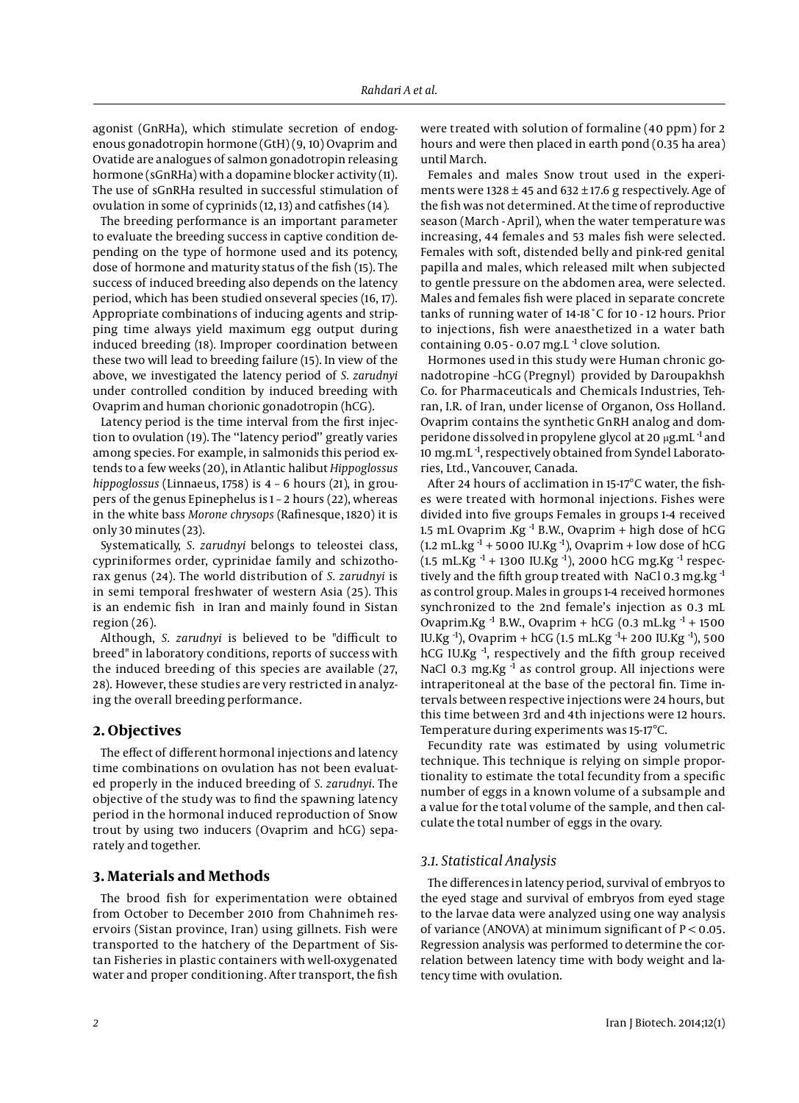agonist (GnRHa), which stimulate secretion of endogenous gonadotropin hormone (GtH) (9, 10) Ovaprim and Ovatide are analogues of salmon gonadotropin releasing hormone (sGnRHa) with a dopamine blocker activity (11). The use of sGnRHa resulted in successful stimulation of ovulation in some of cyprinids (12, 13) and catfishes (14).

The breeding performance is an important parameter to evaluate the breeding success in captive condition depending on the type of hormone used and its potency, dose of hormone and maturity status of the fish (15). The success of induced breeding also depends on the latency period, which has been studied onseveral species (16, 17). Appropriate combinations of inducing agents and stripping time always yield maximum egg output during induced breeding (18). Improper coordination between these two will lead to breeding failure (15). In view of the above, we investigated the latency period of *S. zarudnyi* under controlled condition by induced breeding with Ovaprim and human chorionic gonadotropin (hCG).

Latency period is the time interval from the first injection to ovulation (19). The ''latency period'' greatly varies among species. For example, in salmonids this period extends to a few weeks (20), in Atlantic halibut *Hippoglossus hippoglossus* (Linnaeus, 1758) is 4 – 6 hours (21), in groupers of the genus Epinephelus is 1 – 2 hours (22), whereas in the white bass *Morone chrysops* (Rafinesque, 1820) it is only 30 minutes (23).

Systematically, *S. zarudnyi* belongs to teleostei class, cypriniformes order, cyprinidae family and schizothorax genus (24). The world distribution of *S. zarudnyi* is in semi temporal freshwater of western Asia (25). This is an endemic fish in Iran and mainly found in Sistan region (26).

Although, *S. zarudnyi* is believed to be "difficult to breed" in laboratory conditions, reports of success with the induced breeding of this species are available (27, 28). However, these studies are very restricted in analyzing the overall breeding performance.

#### **2. Objectives**

The effect of different hormonal injections and latency time combinations on ovulation has not been evaluated properly in the induced breeding of *S. zarudnyi*. The objective of the study was to find the spawning latency period in the hormonal induced reproduction of Snow trout by using two inducers (Ovaprim and hCG) separately and together.

#### **3. Materials and Methods**

The brood fish for experimentation were obtained from October to December 2010 from Chahnimeh reservoirs (Sistan province, Iran) using gillnets. Fish were transported to the hatchery of the Department of Sistan Fisheries in plastic containers with well-oxygenated water and proper conditioning. After transport, the fish were treated with solution of formaline (40 ppm) for 2 hours and were then placed in earth pond (0.35 ha area) until March.

Females and males Snow trout used in the experiments were 1328  $\pm$  45 and 632  $\pm$  17.6 g respectively. Age of the fish was not determined. At the time of reproductive season (March - April), when the water temperature was increasing, 44 females and 53 males fish were selected. Females with soft, distended belly and pink-red genital papilla and males, which released milt when subjected to gentle pressure on the abdomen area, were selected. Males and females fish were placed in separate concrete tanks of running water of 14-18˚C for 10 - 12 hours. Prior to injections, fish were anaesthetized in a water bath containing  $0.05 - 0.07$  mg. L<sup>-1</sup> clove solution.

Hormones used in this study were Human chronic gonadotropine –hCG (Pregnyl) provided by Daroupakhsh Co. for Pharmaceuticals and Chemicals Industries, Tehran, I.R. of Iran, under license of Organon, Oss Holland. Ovaprim contains the synthetic GnRH analog and domperidone dissolved in propylene glycol at 20 μg.mL -1 and 10 mg.mL -1, respectively obtained from Syndel Laboratories, Ltd., Vancouver, Canada.

After 24 hours of acclimation in 15-17°C water, the fishes were treated with hormonal injections. Fishes were divided into five groups Females in groups 1-4 received 1.5 mL Ovaprim .Kg -1 B.W., Ovaprim + high dose of hCG (1.2 mL.kg $-1$  + 5000 IU.Kg $-1$ ), Ovaprim + low dose of hCG (1.5 mL.Kg  $^{-1}$  + 1300 IU.Kg  $^{-1}$ ), 2000 hCG mg.Kg  $^{-1}$  respectively and the fifth group treated with NaCl 0.3 mg.kg $^{-1}$ as control group. Males in groups 1-4 received hormones synchronized to the 2nd female's injection as 0.3 mL Ovaprim.Kg  $^{-1}$  B.W., Ovaprim + hCG (0.3 mL.kg  $^{-1}$  + 1500 IU.Kg<sup>-1</sup>), Ovaprim + hCG (1.5 mL.Kg<sup>-1</sup>+ 200 IU.Kg<sup>-1</sup>), 500 hCG IU.Kg<sup>-1</sup>, respectively and the fifth group received NaCl 0.3 mg.Kg<sup>-1</sup> as control group. All injections were intraperitoneal at the base of the pectoral fin. Time intervals between respective injections were 24 hours, but this time between 3rd and 4th injections were 12 hours. Temperature during experiments was 15-17°C.

Fecundity rate was estimated by using volumetric technique. This technique is relying on simple proportionality to estimate the total fecundity from a specific number of eggs in a known volume of a subsample and a value for the total volume of the sample, and then calculate the total number of eggs in the ovary.

## *3.1. Statistical Analysis*

The differences in latency period, survival of embryos to the eyed stage and survival of embryos from eyed stage to the larvae data were analyzed using one way analysis of variance (ANOVA) at minimum significant of  $P < 0.05$ . Regression analysis was performed to determine the correlation between latency time with body weight and latency time with ovulation.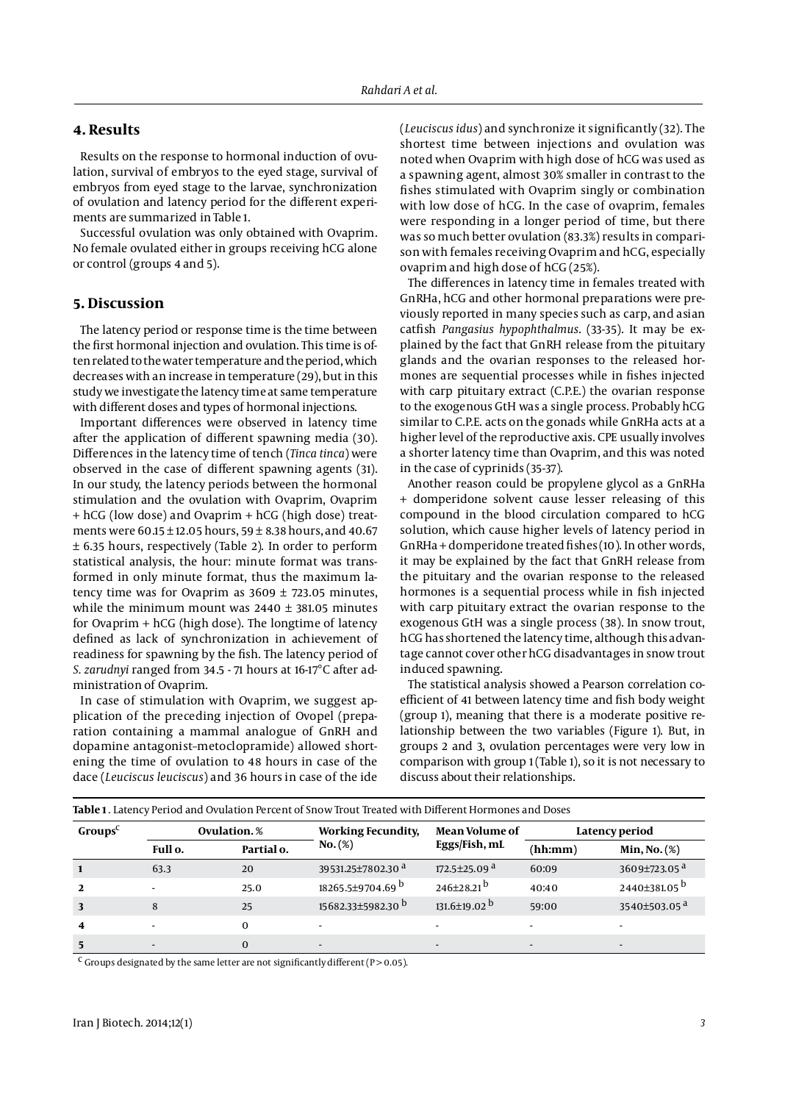#### **4. Results**

Results on the response to hormonal induction of ovulation, survival of embryos to the eyed stage, survival of embryos from eyed stage to the larvae, synchronization of ovulation and latency period for the different experiments are summarized in Table 1.

Successful ovulation was only obtained with Ovaprim. No female ovulated either in groups receiving hCG alone or control (groups 4 and 5).

#### **5. Discussion**

The latency period or response time is the time between the first hormonal injection and ovulation. This time is often related to the water temperature and the period, which decreases with an increase in temperature (29), but in this study we investigate the latency time at same temperature with different doses and types of hormonal injections.

Important differences were observed in latency time after the application of different spawning media (30). Differences in the latency time of tench (*Tinca tinca*) were observed in the case of different spawning agents (31). In our study, the latency periods between the hormonal stimulation and the ovulation with Ovaprim, Ovaprim + hCG (low dose) and Ovaprim + hCG (high dose) treatments were  $60.15 \pm 12.05$  hours,  $59 \pm 8.38$  hours, and  $40.67$ ± 6.35 hours, respectively (Table 2). In order to perform statistical analysis, the hour: minute format was transformed in only minute format, thus the maximum latency time was for Ovaprim as  $3609 \pm 723.05$  minutes, while the minimum mount was  $2440 \pm 381.05$  minutes for Ovaprim + hCG (high dose). The longtime of latency defined as lack of synchronization in achievement of readiness for spawning by the fish. The latency period of *S. zarudnyi* ranged from 34.5 - 71 hours at 16-17°C after administration of Ovaprim.

In case of stimulation with Ovaprim, we suggest application of the preceding injection of Ovopel (preparation containing a mammal analogue of GnRH and dopamine antagonist–metoclopramide) allowed shortening the time of ovulation to 48 hours in case of the dace (*Leuciscus leuciscus*) and 36 hours in case of the ide

(*Leuciscus idus*) and synchronize it significantly (32). The shortest time between injections and ovulation was noted when Ovaprim with high dose of hCG was used as a spawning agent, almost 30% smaller in contrast to the fishes stimulated with Ovaprim singly or combination with low dose of hCG. In the case of ovaprim, females were responding in a longer period of time, but there was so much better ovulation (83.3%) results in comparison with females receiving Ovaprim and hCG, especially ovaprim and high dose of hCG (25%).

The differences in latency time in females treated with GnRHa, hCG and other hormonal preparations were previously reported in many species such as carp, and asian catfish *Pangasius hypophthalmus*. (33-35). It may be explained by the fact that GnRH release from the pituitary glands and the ovarian responses to the released hormones are sequential processes while in fishes injected with carp pituitary extract (C.P.E.) the ovarian response to the exogenous GtH was a single process. Probably hCG similar to C.P.E. acts on the gonads while GnRHa acts at a higher level of the reproductive axis. CPE usually involves a shorter latency time than Ovaprim, and this was noted in the case of cyprinids (35-37).

Another reason could be propylene glycol as a GnRHa + domperidone solvent cause lesser releasing of this compound in the blood circulation compared to hCG solution, which cause higher levels of latency period in GnRHa + domperidone treated fishes (10). In other words, it may be explained by the fact that GnRH release from the pituitary and the ovarian response to the released hormones is a sequential process while in fish injected with carp pituitary extract the ovarian response to the exogenous GtH was a single process (38). In snow trout, hCG has shortened the latency time, although this advantage cannot cover other hCG disadvantages in snow trout induced spawning.

The statistical analysis showed a Pearson correlation coefficient of 41 between latency time and fish body weight (group 1), meaning that there is a moderate positive relationship between the two variables (Figure 1). But, in groups 2 and 3, ovulation percentages were very low in comparison with group 1 (Table 1), so it is not necessary to discuss about their relationships.

| Table 1. Latency Period and Ovulation Percent of Snow Trout Treated with Different Hormones and Doses |                          |            |                               |                                |                |                          |  |  |  |  |  |
|-------------------------------------------------------------------------------------------------------|--------------------------|------------|-------------------------------|--------------------------------|----------------|--------------------------|--|--|--|--|--|
| Groups <sup>C</sup>                                                                                   | Ovulation.%              |            | <b>Working Fecundity,</b>     | <b>Mean Volume of</b>          | Latency period |                          |  |  |  |  |  |
|                                                                                                       | Full o.                  | Partial o. | $No.(\%)$                     | Eggs/Fish, mL                  | (hh:mm)        | Min, No. (%)             |  |  |  |  |  |
|                                                                                                       | 63.3                     | 20         | 39531.25±7802.30 <sup>a</sup> | 172.5 $\pm$ 25.09 $a$          | 60:09          | 3609±723.05 <sup>a</sup> |  |  |  |  |  |
| $\overline{2}$                                                                                        | $\overline{a}$           | 25.0       | 18265.5±9704.69 b             | $246\pm28.21$ <sup>b</sup>     | 40:40          | 2440±381.05 <sup>b</sup> |  |  |  |  |  |
| 3                                                                                                     | 8                        | 25         | 15682.33±5982.30 <sup>b</sup> | $131.6 \pm 19.02$ <sup>b</sup> | 59:00          | 3540 $\pm$ 503.05 $a$    |  |  |  |  |  |
| $\boldsymbol{4}$                                                                                      | $\overline{\phantom{a}}$ | $\Omega$   |                               |                                |                |                          |  |  |  |  |  |
| 5                                                                                                     |                          | $\Omega$   | $\overline{\phantom{a}}$      |                                |                |                          |  |  |  |  |  |

<sup>c</sup> Groups designated by the same letter are not significantly different (P > 0.05).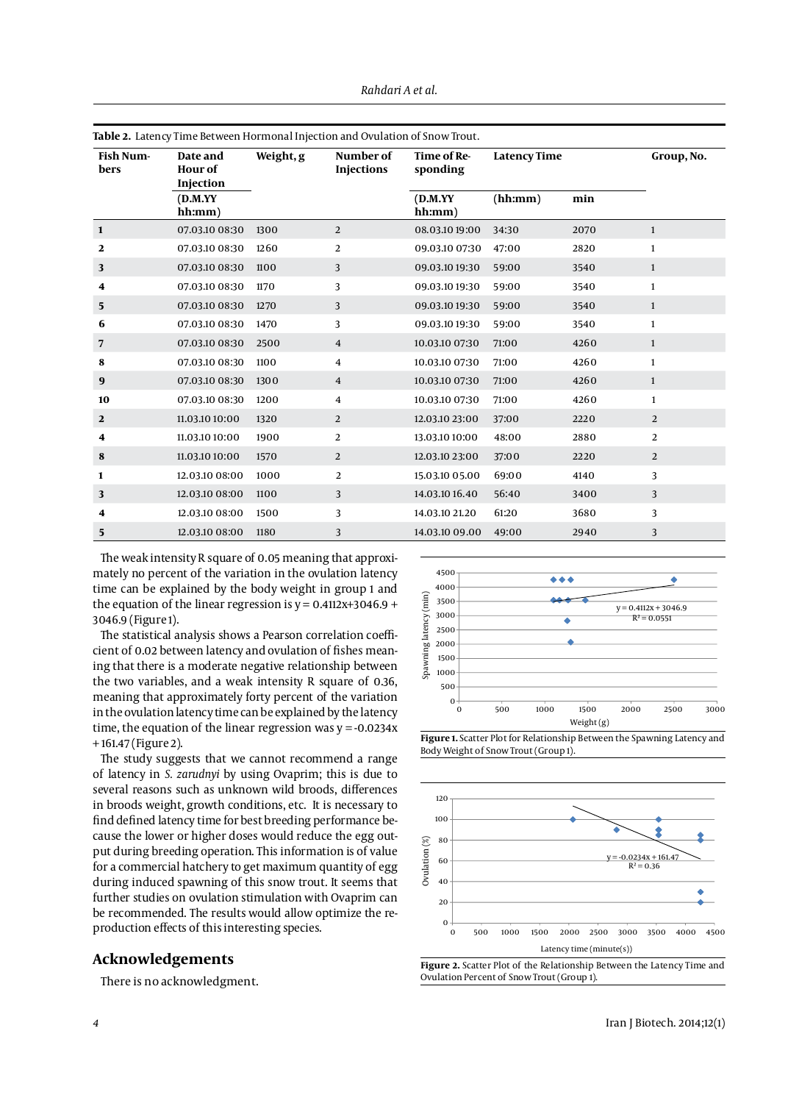| Table 2. Latency Time Between Hormonal Injection and Ovulation of Snow Trout. |                                         |           |                                |                         |                     |      |              |  |  |  |
|-------------------------------------------------------------------------------|-----------------------------------------|-----------|--------------------------------|-------------------------|---------------------|------|--------------|--|--|--|
| <b>Fish Num-</b><br>bers                                                      | Date and<br><b>Hour of</b><br>Injection | Weight, g | Number of<br><b>Injections</b> | Time of Re-<br>sponding | <b>Latency Time</b> |      | Group, No.   |  |  |  |
|                                                                               | (D.M.YY)<br>hh:mm)                      |           |                                | (D.M.YY)<br>hh:mm)      | (hh:mm)             | min  |              |  |  |  |
| $\mathbf{1}$                                                                  | 07.03.10 08:30                          | 1300      | 2                              | 08.03.10 19:00          | 34:30               | 2070 | $\mathbf{1}$ |  |  |  |
| 2                                                                             | 07.03.10 08:30                          | 1260      | 2                              | 09.03.10 07:30          | 47:00               | 2820 | $\mathbf{1}$ |  |  |  |
| 3                                                                             | 07.03.10 08:30                          | 1100      | 3                              | 09.03.10 19:30          | 59:00               | 3540 | $\mathbf{1}$ |  |  |  |
| 4                                                                             | 07.03.10 08:30                          | 1170      | 3                              | 09.03.10 19:30          | 59:00               | 3540 | $\mathbf{1}$ |  |  |  |
| 5                                                                             | 07.03.10 08:30                          | 1270      | 3                              | 09.03.10 19:30          | 59:00               | 3540 | $\mathbf{1}$ |  |  |  |
| 6                                                                             | 07.03.10 08:30                          | 1470      | 3                              | 09.03.10 19:30          | 59:00               | 3540 | $\mathbf{1}$ |  |  |  |
| 7                                                                             | 07.03.10 08:30                          | 2500      | $\overline{4}$                 | 10.03.10 07:30          | 71:00               | 4260 | $\mathbf{1}$ |  |  |  |
| 8                                                                             | 07.03.10 08:30                          | 1100      | 4                              | 10.03.10 07:30          | 71:00               | 4260 | $\mathbf{1}$ |  |  |  |
| 9                                                                             | 07.03.10 08:30                          | 1300      | $\overline{4}$                 | 10.03.10 07:30          | 71:00               | 4260 | $\mathbf{1}$ |  |  |  |
| 10                                                                            | 07.03.10 08:30                          | 1200      | 4                              | 10.03.10 07:30          | 71:00               | 4260 | $\mathbf{1}$ |  |  |  |
| $\mathbf{2}$                                                                  | 11.03.10 10:00                          | 1320      | 2                              | 12.03.10 23:00          | 37:00               | 2220 | 2            |  |  |  |
| 4                                                                             | 11.03.10 10:00                          | 1900      | 2                              | 13.03.10 10:00          | 48:00               | 2880 | 2            |  |  |  |
| 8                                                                             | 11.03.10 10:00                          | 1570      | 2                              | 12.03.10 23:00          | 37:00               | 2220 | 2            |  |  |  |
| 1                                                                             | 12.03.10 08:00                          | 1000      | 2                              | 15.03.10 05.00          | 69:00               | 4140 | 3            |  |  |  |
| 3                                                                             | 12.03.10 08:00                          | 1100      | 3                              | 14.03.10 16.40          | 56:40               | 3400 | 3            |  |  |  |
| 4                                                                             | 12.03.10 08:00                          | 1500      | 3                              | 14.03.10 21.20          | 61:20               | 3680 | 3            |  |  |  |
| 5                                                                             | 12.03.10 08:00                          | 1180      | 3                              | 14.03.10 09.00          | 49:00               | 2940 | 3            |  |  |  |

*Rahdari A et al.*

The weak intensity R square of 0.05 meaning that approximately no percent of the variation in the ovulation latency time can be explained by the body weight in group 1 and the equation of the linear regression is  $y = 0.4112x + 3046.9 +$ 3046.9 (Figure 1).

The statistical analysis shows a Pearson correlation coefficient of 0.02 between latency and ovulation of fishes meaning that there is a moderate negative relationship between the two variables, and a weak intensity R square of 0.36, meaning that approximately forty percent of the variation in the ovulation latency time can be explained by the latency time, the equation of the linear regression was  $y = -0.0234x$ + 161.47 (Figure 2).

The study suggests that we cannot recommend a range of latency in *S. zarudnyi* by using Ovaprim; this is due to several reasons such as unknown wild broods, differences in broods weight, growth conditions, etc. It is necessary to find defined latency time for best breeding performance because the lower or higher doses would reduce the egg output during breeding operation. This information is of value for a commercial hatchery to get maximum quantity of egg during induced spawning of this snow trout. It seems that further studies on ovulation stimulation with Ovaprim can be recommended. The results would allow optimize the reproduction effects of this interesting species.

#### **Acknowledgements**

There is no acknowledgment.



**Figure 1.** Scatter Plot for Relationship Between the Spawning Latency and Body Weight of Snow Trout (Group 1).





*4* Iran J Biotech. 2014;12(1)